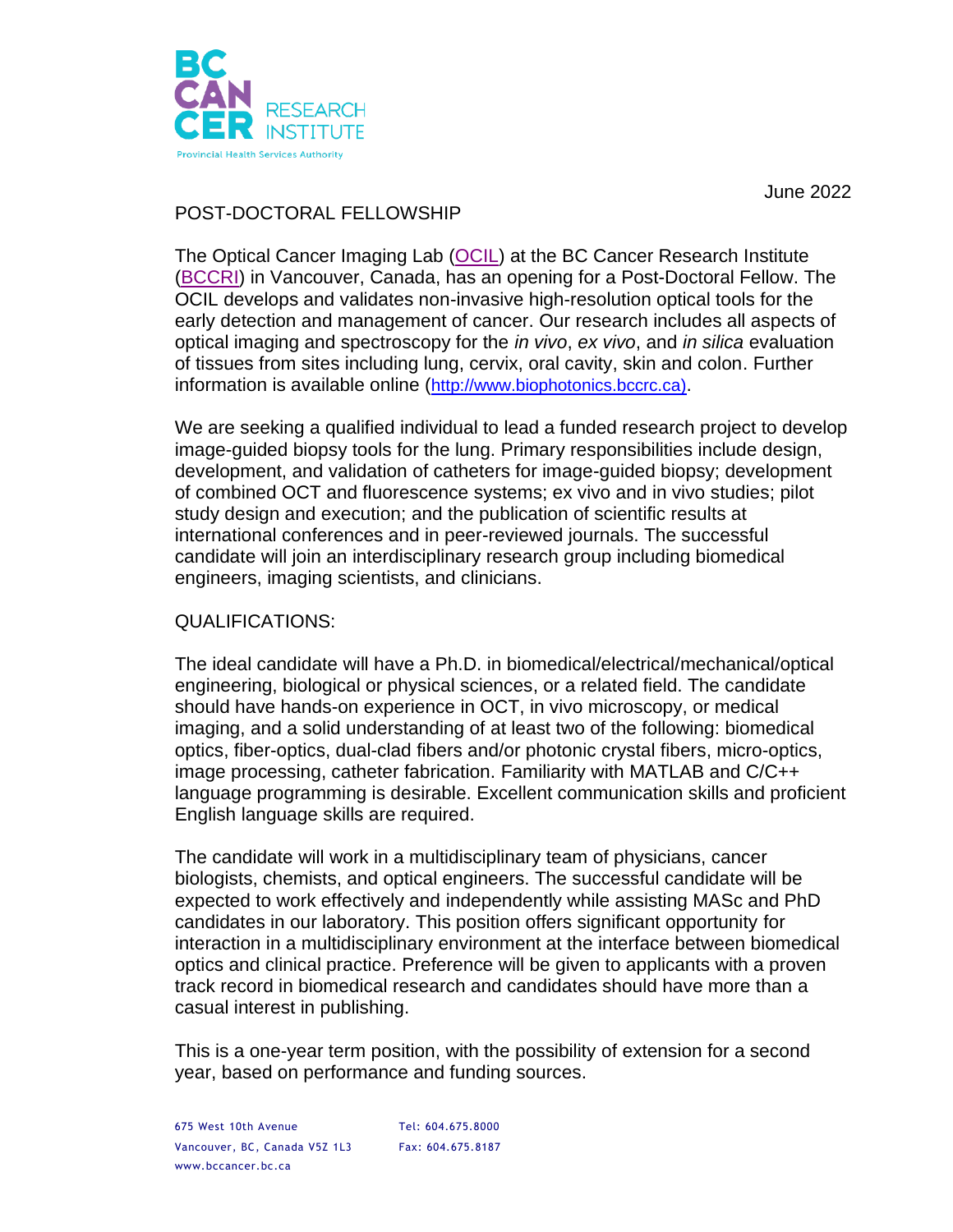

June 2022

## POST-DOCTORAL FELLOWSHIP

The Optical Cancer Imaging Lab [\(OCIL\)](https://biophotonics.bccrc.ca/) at the BC Cancer Research Institute [\(BCCRI\)](https://www.bccrc.ca/) in Vancouver, Canada, has an opening for a Post-Doctoral Fellow. The OCIL develops and validates non-invasive high-resolution optical tools for the early detection and management of cancer. Our research includes all aspects of optical imaging and spectroscopy for the *in vivo*, *ex vivo*, and *in silica* evaluation of tissues from sites including lung, cervix, oral cavity, skin and colon. Further information is available online ([http://www.biophotonics.bccrc.ca\)](http://www.biophotonics.bccrc.ca/).

We are seeking a qualified individual to lead a funded research project to develop image-guided biopsy tools for the lung. Primary responsibilities include design, development, and validation of catheters for image-guided biopsy; development of combined OCT and fluorescence systems; ex vivo and in vivo studies; pilot study design and execution; and the publication of scientific results at international conferences and in peer-reviewed journals. The successful candidate will join an interdisciplinary research group including biomedical engineers, imaging scientists, and clinicians.

## QUALIFICATIONS:

The ideal candidate will have a Ph.D. in biomedical/electrical/mechanical/optical engineering, biological or physical sciences, or a related field. The candidate should have hands-on experience in OCT, in vivo microscopy, or medical imaging, and a solid understanding of at least two of the following: biomedical optics, fiber-optics, dual-clad fibers and/or photonic crystal fibers, micro-optics, image processing, catheter fabrication. Familiarity with MATLAB and C/C++ language programming is desirable. Excellent communication skills and proficient English language skills are required.

The candidate will work in a multidisciplinary team of physicians, cancer biologists, chemists, and optical engineers. The successful candidate will be expected to work effectively and independently while assisting MASc and PhD candidates in our laboratory. This position offers significant opportunity for interaction in a multidisciplinary environment at the interface between biomedical optics and clinical practice. Preference will be given to applicants with a proven track record in biomedical research and candidates should have more than a casual interest in publishing.

This is a one-year term position, with the possibility of extension for a second year, based on performance and funding sources.